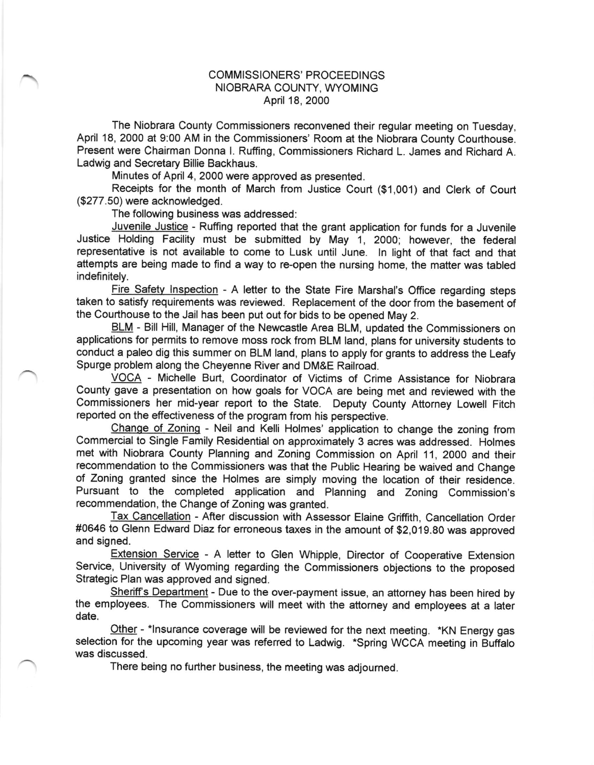## COMMISSIONERS' PROCEEDINGS NIOBRARA COUNTY, WYOMING April 18, 2000

The Niobrara County Commissioners reconvened their regular meeting on Tuesday, April 18, 2000 at 9:00 AM in the Commissioners' Room at the Niobrara County Courthouse. Present were Chairman Donna l. Ruffing, Commissioners Richard L. James and Richard A. Ladwig and Secretary Billie Backhaus.

Minutes of April 4, 2000 were approved as presented.

Receipts for the month of March from Justice Court (\$1,001) and Clerk of Court (\$277.50) were acknowledged.

The following business was addressed:

Juvenile Justice - Ruffing reported that the grant application for funds for a Juvenile Justice Holding Facility must be submifted by May 1, 2000; however, the federal representative is not available to come to Lusk until June. ln light of that fact and that attempts are being made to find a way to re-open the nursing home, the matter was tabled indefinitely.

Fire Safetv lnspection - A letter to the State Fire Marshal's Office regarding steps taken to satisfy requirements was reviewed. Replacement of the door from the basement of the Courthouse to the Jail has been put out for bids to be opened May 2.

BLM - Bill Hill, Manager of the Newcastle Area BLM, updated the Commissioners on applications for permits to remove moss rock from BLM land, plans for university students to conduct a paleo dig this summer on BLM land, plans to apply for grants to address the Leafy Spurge problem along the Cheyenne River and DM&E Railroad.

VOCA - Michelle Burt, Coordinator of Victims of Crime Assistance for Niobrara County gave a presentation on how goals for VOCA are being met and reviewed with the Commissioners her mid-year report to the State. Deputy County Attorney Lowell Fitch reported on the effectiveness of the program from his perspective.

Change of Zoning - Neil and Kelli Holmes' application to change the zoning from Commercial to Single Family Residential on approximately 3 acres was addressed. Holmes met with Niobrara County Planning and Zoning Commission on April 11, 2OOO and their recommendation to the Commissioners was that the Public Hearing be waived and Change of Zoning granted since the Holmes are simply moving the location of their residence. Pursuant to the completed application and Planning and Zoning Commission's recommendation, the Change of Zoning was granted.

Tax Cancellation - After discussion with Assessor Elaine Griffith, Cancellation Order #0646 to Glenn Edward Diaz for erroneous taxes in the amount of \$2,019.80 was approved and signed.

Exlension Service - A letter to Glen Whipple, Director of Cooperative Extension Service, University of Wyoming regarding the Commissioners objections to the proposed Strategic Plan was approved and signed.

Sheriff's Department - Due to the over-payment issue, an attorney has been hired by the employees. The Commissioners will meet with the attorney and employees at a later date.

Other - \*Insurance coverage will be reviewed for the next meeting. \*KN Energy gas selection for the upcoming year was referred to Ladwig. \*Spring WCCA meeting in Buffalo was discussed.

There being no further business, the meeting was adjourned.